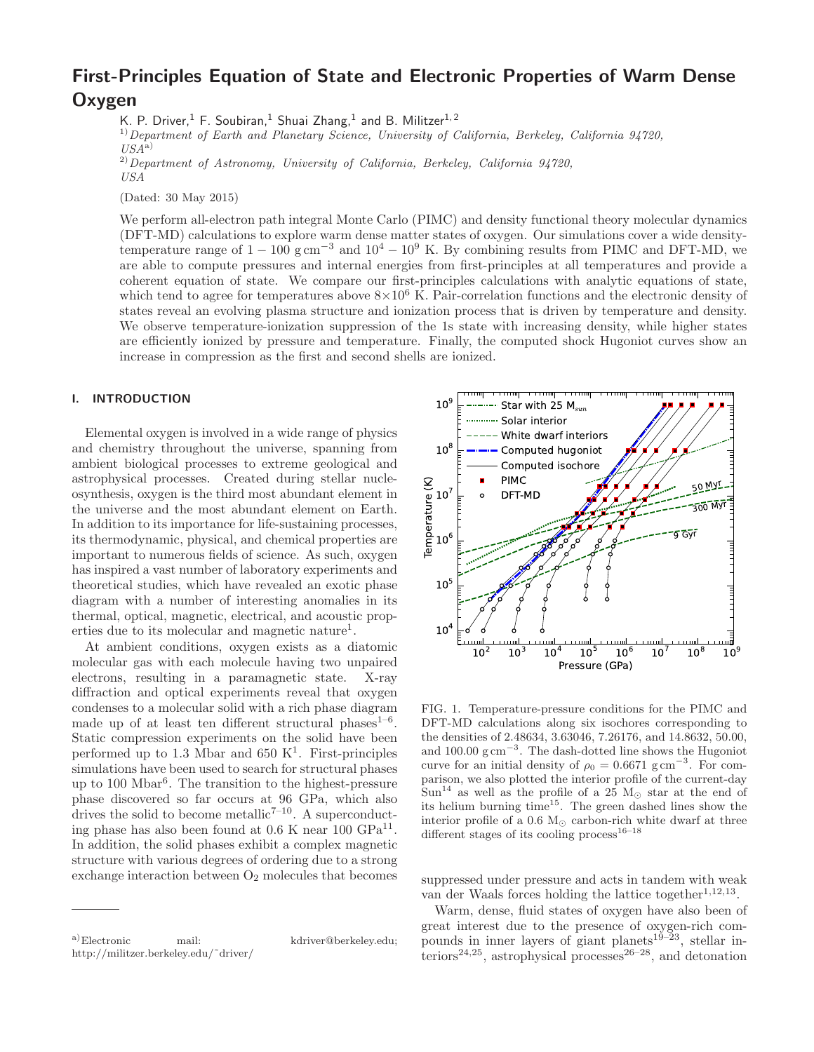# First-Principles Equation of State and Electronic Properties of Warm Dense Oxygen

K. P. Driver, <sup>1</sup> F. Soubiran, <sup>1</sup> Shuai Zhang, <sup>1</sup> and B. Militzer<sup>1, 2</sup>

 $1)$  Department of Earth and Planetary Science, University of California, Berkeley, California 94720,  $USA^{\rm a)}$ 

 $^{2)}$  Department of Astronomy, University of California, Berkeley, California 94720,

 $\mathit{USA}$ 

(Dated: 30 May 2015)

We perform all-electron path integral Monte Carlo (PIMC) and density functional theory molecular dynamics (DFT-MD) calculations to explore warm dense matter states of oxygen. Our simulations cover a wide densitytemperature range of  $1 - 100$  g cm<sup>-3</sup> and  $10^4 - 10^9$  K. By combining results from PIMC and DFT-MD, we are able to compute pressures and internal energies from first-principles at all temperatures and provide a coherent equation of state. We compare our first-principles calculations with analytic equations of state, which tend to agree for temperatures above  $8\times10^6$  K. Pair-correlation functions and the electronic density of states reveal an evolving plasma structure and ionization process that is driven by temperature and density. We observe temperature-ionization suppression of the 1s state with increasing density, while higher states are efficiently ionized by pressure and temperature. Finally, the computed shock Hugoniot curves show an increase in compression as the first and second shells are ionized.

## I. INTRODUCTION

Elemental oxygen is involved in a wide range of physics and chemistry throughout the universe, spanning from ambient biological processes to extreme geological and astrophysical processes. Created during stellar nucleosynthesis, oxygen is the third most abundant element in the universe and the most abundant element on Earth. In addition to its importance for life-sustaining processes, its thermodynamic, physical, and chemical properties are important to numerous fields of science. As such, oxygen has inspired a vast number of laboratory experiments and theoretical studies, which have revealed an exotic phase diagram with a number of interesting anomalies in its thermal, optical, magnetic, electrical, and acoustic properties due to its molecular and magnetic nature<sup>1</sup>.

At ambient conditions, oxygen exists as a diatomic molecular gas with each molecule having two unpaired electrons, resulting in a paramagnetic state. X-ray diffraction and optical experiments reveal that oxygen condenses to a molecular solid with a rich phase diagram made up of at least ten different structural phases<sup>1-6</sup>. Static compression experiments on the solid have been performed up to 1.3 Mbar and  $650 \text{ K}^1$ . First-principles simulations have been used to search for structural phases up to 100 Mbar<sup>6</sup> . The transition to the highest-pressure phase discovered so far occurs at 96 GPa, which also drives the solid to become metallic<sup> $7-10$ </sup>. A superconducting phase has also been found at  $0.6$  K near  $100 \text{ GPa}^{11}$ . In addition, the solid phases exhibit a complex magnetic structure with various degrees of ordering due to a strong exchange interaction between  $O_2$  molecules that becomes





FIG. 1. Temperature-pressure conditions for the PIMC and DFT-MD calculations along six isochores corresponding to the densities of 2.48634, 3.63046, 7.26176, and 14.8632, 50.00, and  $100.00~\mathrm{g~cm}^{-3}$ . The dash-dotted line shows the Hugoniot curve for an initial density of  $\rho_0 = 0.6671 \text{ g cm}^{-3}$ . For comparison, we also plotted the interior profile of the current-day Sun<sup>14</sup> as well as the profile of a 25 M<sub>☉</sub> star at the end of its helium burning time<sup>15</sup>. The green dashed lines show the interior profile of a 0.6  $M_{\odot}$  carbon-rich white dwarf at three different stages of its cooling process<sup>16–18</sup>

suppressed under pressure and acts in tandem with weak van der Waals forces holding the lattice together<sup>1,12,13</sup>.

Warm, dense, fluid states of oxygen have also been of great interest due to the presence of oxygen-rich compounds in inner layers of giant planets<sup>19–23</sup>, stellar interiors<sup>24,25</sup>, astrophysical processes<sup>26–28</sup>, and detonation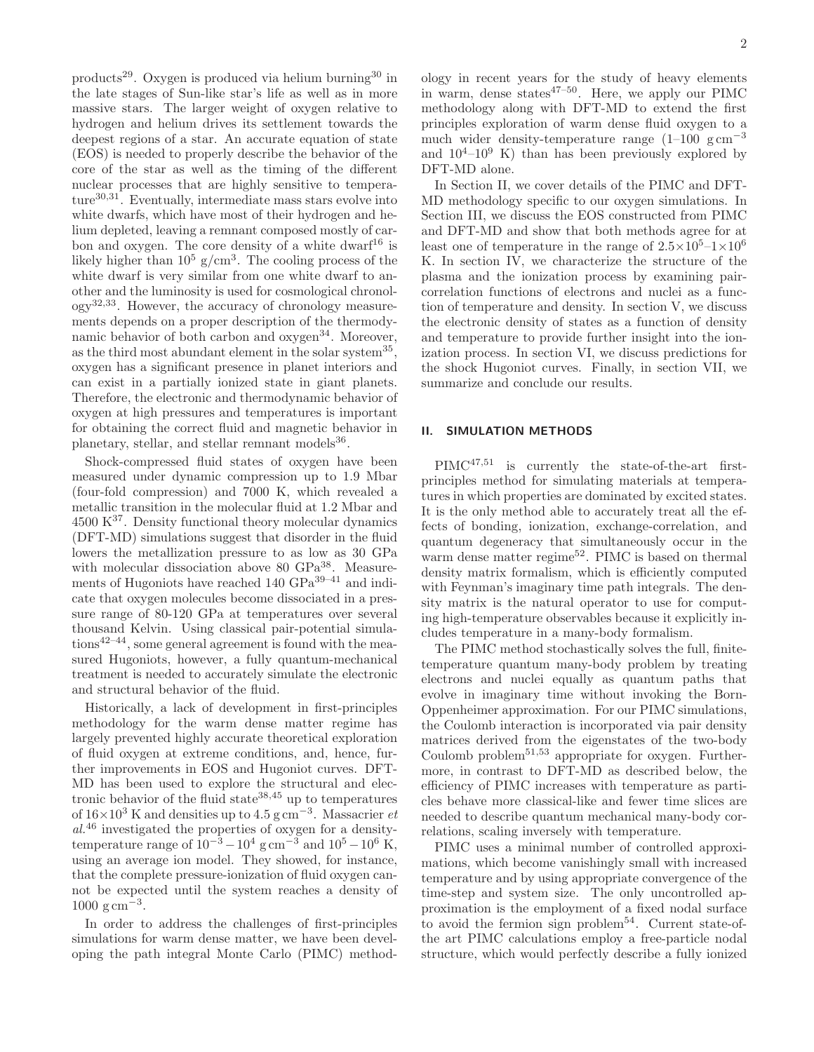products<sup>29</sup>. Oxygen is produced via helium burning<sup>30</sup> in the late stages of Sun-like star's life as well as in more massive stars. The larger weight of oxygen relative to hydrogen and helium drives its settlement towards the deepest regions of a star. An accurate equation of state (EOS) is needed to properly describe the behavior of the core of the star as well as the timing of the different nuclear processes that are highly sensitive to tempera $ture^{30,31}$ . Eventually, intermediate mass stars evolve into white dwarfs, which have most of their hydrogen and helium depleted, leaving a remnant composed mostly of carbon and oxygen. The core density of a white dwarf<sup>16</sup> is likely higher than  $10^5$  g/cm<sup>3</sup>. The cooling process of the white dwarf is very similar from one white dwarf to another and the luminosity is used for cosmological chronology32,33. However, the accuracy of chronology measurements depends on a proper description of the thermodynamic behavior of both carbon and oxygen<sup>34</sup>. Moreover, as the third most abundant element in the solar system<sup>35</sup>, oxygen has a significant presence in planet interiors and can exist in a partially ionized state in giant planets. Therefore, the electronic and thermodynamic behavior of oxygen at high pressures and temperatures is important for obtaining the correct fluid and magnetic behavior in planetary, stellar, and stellar remnant models<sup>36</sup>.

Shock-compressed fluid states of oxygen have been measured under dynamic compression up to 1.9 Mbar (four-fold compression) and 7000 K, which revealed a metallic transition in the molecular fluid at 1.2 Mbar and  $4500 \text{ K}^{37}$ . Density functional theory molecular dynamics (DFT-MD) simulations suggest that disorder in the fluid lowers the metallization pressure to as low as 30 GPa with molecular dissociation above 80 GPa<sup>38</sup>. Measurements of Hugoniots have reached 140 GPa<sup>39-41</sup> and indicate that oxygen molecules become dissociated in a pressure range of 80-120 GPa at temperatures over several thousand Kelvin. Using classical pair-potential simula $tions^{42-44}$ , some general agreement is found with the measured Hugoniots, however, a fully quantum-mechanical treatment is needed to accurately simulate the electronic and structural behavior of the fluid.

Historically, a lack of development in first-principles methodology for the warm dense matter regime has largely prevented highly accurate theoretical exploration of fluid oxygen at extreme conditions, and, hence, further improvements in EOS and Hugoniot curves. DFT-MD has been used to explore the structural and electronic behavior of the fluid state  $38,45$  up to temperatures of  $16\times10^3$  K and densities up to 4.5 g cm<sup>-3</sup>. Massacrier *et* al.<sup>46</sup> investigated the properties of oxygen for a densitytemperature range of  $10^{-3} - 10^4$  g cm<sup>-3</sup> and  $10^5 - 10^6$  K, using an average ion model. They showed, for instance, that the complete pressure-ionization of fluid oxygen cannot be expected until the system reaches a density of  $1000~{\rm g\,cm}^{-3}$ .

In order to address the challenges of first-principles simulations for warm dense matter, we have been developing the path integral Monte Carlo (PIMC) methodology in recent years for the study of heavy elements in warm, dense states $47-50$ . Here, we apply our PIMC methodology along with DFT-MD to extend the first principles exploration of warm dense fluid oxygen to a much wider density-temperature range  $(1-100 \text{ g cm}^{-3})$ and  $10^4$ – $10^9$  K) than has been previously explored by DFT-MD alone.

In Section II, we cover details of the PIMC and DFT-MD methodology specific to our oxygen simulations. In Section III, we discuss the EOS constructed from PIMC and DFT-MD and show that both methods agree for at least one of temperature in the range of  $2.5 \times 10^5$ – $1 \times 10^6$ K. In section IV, we characterize the structure of the plasma and the ionization process by examining paircorrelation functions of electrons and nuclei as a function of temperature and density. In section V, we discuss the electronic density of states as a function of density and temperature to provide further insight into the ionization process. In section VI, we discuss predictions for the shock Hugoniot curves. Finally, in section VII, we summarize and conclude our results.

## II. SIMULATION METHODS

PIMC47,51 is currently the state-of-the-art firstprinciples method for simulating materials at temperatures in which properties are dominated by excited states. It is the only method able to accurately treat all the effects of bonding, ionization, exchange-correlation, and quantum degeneracy that simultaneously occur in the warm dense matter regime<sup>52</sup>. PIMC is based on thermal density matrix formalism, which is efficiently computed with Feynman's imaginary time path integrals. The density matrix is the natural operator to use for computing high-temperature observables because it explicitly includes temperature in a many-body formalism.

The PIMC method stochastically solves the full, finitetemperature quantum many-body problem by treating electrons and nuclei equally as quantum paths that evolve in imaginary time without invoking the Born-Oppenheimer approximation. For our PIMC simulations, the Coulomb interaction is incorporated via pair density matrices derived from the eigenstates of the two-body Coulomb problem $51,53$  appropriate for oxygen. Furthermore, in contrast to DFT-MD as described below, the efficiency of PIMC increases with temperature as particles behave more classical-like and fewer time slices are needed to describe quantum mechanical many-body correlations, scaling inversely with temperature.

PIMC uses a minimal number of controlled approximations, which become vanishingly small with increased temperature and by using appropriate convergence of the time-step and system size. The only uncontrolled approximation is the employment of a fixed nodal surface to avoid the fermion sign problem<sup>54</sup>. Current state-ofthe art PIMC calculations employ a free-particle nodal structure, which would perfectly describe a fully ionized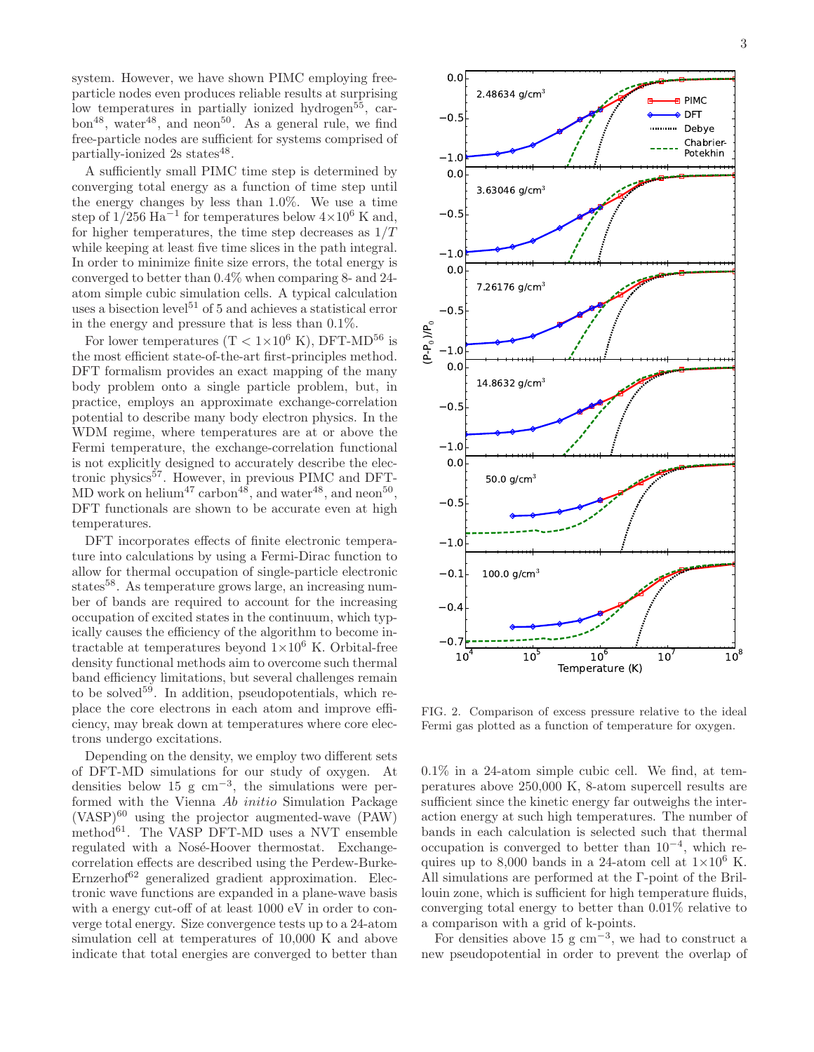system. However, we have shown PIMC employing freeparticle nodes even produces reliable results at surprising low temperatures in partially ionized hydrogen<sup>55</sup>, car $bon<sup>48</sup>$ , water<sup>48</sup>, and neon<sup>50</sup>. As a general rule, we find free-particle nodes are sufficient for systems comprised of partially-ionized 2s states<sup>48</sup>.

A sufficiently small PIMC time step is determined by converging total energy as a function of time step until the energy changes by less than 1.0%. We use a time step of  $1/256$  Ha<sup>-1</sup> for temperatures below  $4\times10^6$  K and, for higher temperatures, the time step decreases as  $1/T$ while keeping at least five time slices in the path integral. In order to minimize finite size errors, the total energy is converged to better than 0.4% when comparing 8- and 24 atom simple cubic simulation cells. A typical calculation uses a bisection level<sup>51</sup> of 5 and achieves a statistical error in the energy and pressure that is less than 0.1%.

For lower temperatures (T <  $1 \times 10^6$  K), DFT-MD<sup>56</sup> is the most efficient state-of-the-art first-principles method. DFT formalism provides an exact mapping of the many body problem onto a single particle problem, but, in practice, employs an approximate exchange-correlation potential to describe many body electron physics. In the WDM regime, where temperatures are at or above the Fermi temperature, the exchange-correlation functional is not explicitly designed to accurately describe the electronic physics<sup>57</sup>. However, in previous PIMC and DFT-MD work on helium<sup>47</sup> carbon<sup>48</sup>, and water<sup>48</sup>, and neon<sup>50</sup>, DFT functionals are shown to be accurate even at high temperatures.

DFT incorporates effects of finite electronic temperature into calculations by using a Fermi-Dirac function to allow for thermal occupation of single-particle electronic states<sup>58</sup>. As temperature grows large, an increasing number of bands are required to account for the increasing occupation of excited states in the continuum, which typically causes the efficiency of the algorithm to become intractable at temperatures beyond  $1\times10^6$  K. Orbital-free density functional methods aim to overcome such thermal band efficiency limitations, but several challenges remain to be solved<sup>59</sup>. In addition, pseudopotentials, which replace the core electrons in each atom and improve efficiency, may break down at temperatures where core electrons undergo excitations.

Depending on the density, we employ two different sets of DFT-MD simulations for our study of oxygen. At densities below 15 g  $cm^{-3}$ , the simulations were performed with the Vienna Ab initio Simulation Package  $(VASP)^{60}$  using the projector augmented-wave  $(PAW)$ method $^{61}$ . The VASP DFT-MD uses a NVT ensemble regulated with a Nosé-Hoover thermostat. Exchangecorrelation effects are described using the Perdew-Burke-Ernzerhof<sup>62</sup> generalized gradient approximation. Electronic wave functions are expanded in a plane-wave basis with a energy cut-off of at least  $1000 \text{ eV}$  in order to converge total energy. Size convergence tests up to a 24-atom simulation cell at temperatures of 10,000 K and above indicate that total energies are converged to better than



FIG. 2. Comparison of excess pressure relative to the ideal Fermi gas plotted as a function of temperature for oxygen.

0.1% in a 24-atom simple cubic cell. We find, at temperatures above 250,000 K, 8-atom supercell results are sufficient since the kinetic energy far outweighs the interaction energy at such high temperatures. The number of bands in each calculation is selected such that thermal occupation is converged to better than 10<sup>−</sup><sup>4</sup> , which requires up to 8,000 bands in a 24-atom cell at  $1\times10^6$  K. All simulations are performed at the Γ-point of the Brillouin zone, which is sufficient for high temperature fluids, converging total energy to better than 0.01% relative to a comparison with a grid of k-points.

For densities above  $15 \text{ g cm}^{-3}$ , we had to construct a new pseudopotential in order to prevent the overlap of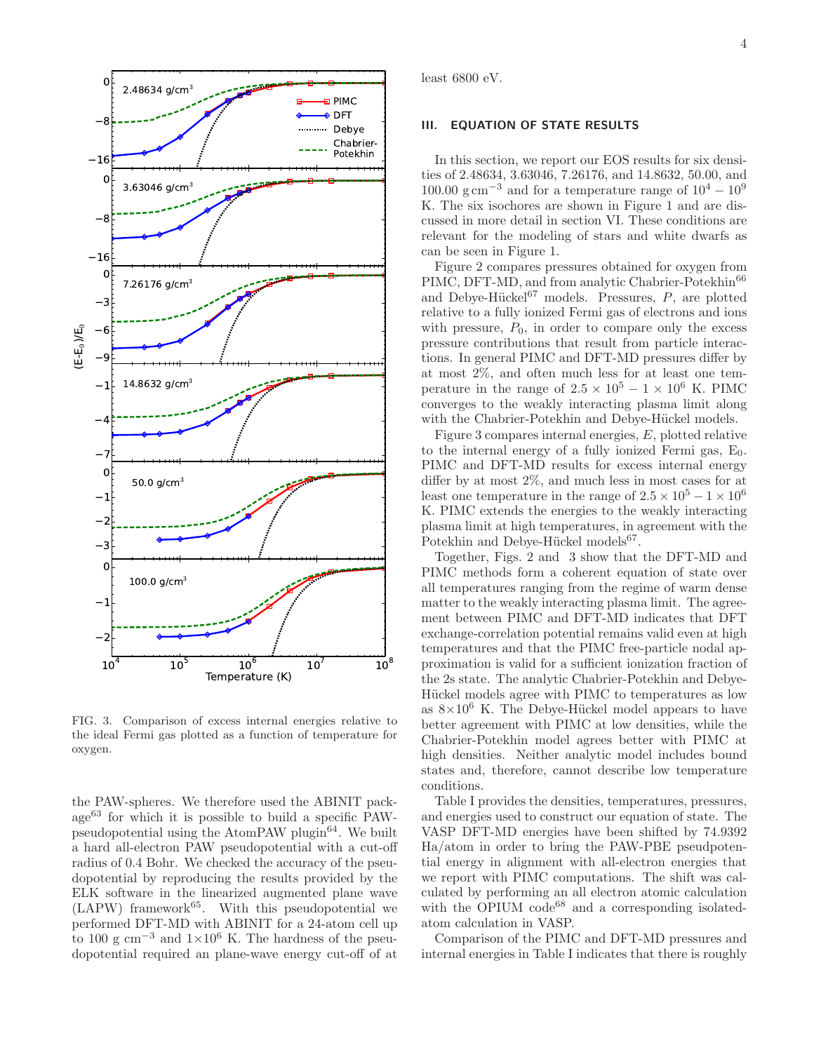

FIG. 3. Comparison of excess internal energies relative to the ideal Fermi gas plotted as a function of temperature for oxygen.

the PAW-spheres. We therefore used the ABINIT pack $age^{63}$  for which it is possible to build a specific PAWpseudopotential using the AtomPAW plugin<sup>64</sup>. We built a hard all-electron PAW pseudopotential with a cut-off radius of 0.4 Bohr. We checked the accuracy of the pseudopotential by reproducing the results provided by the ELK software in the linearized augmented plane wave  $(LAPW)$  framework<sup>65</sup>. With this pseudopotential we performed DFT-MD with ABINIT for a 24-atom cell up to 100 g cm<sup>-3</sup> and  $1\times10^6$  K. The hardness of the pseudopotential required an plane-wave energy cut-off of at

least 6800 eV.

#### III. EQUATION OF STATE RESULTS

In this section, we report our EOS results for six densities of 2.48634, 3.63046, 7.26176, and 14.8632, 50.00, and 100.00 g cm<sup>-3</sup> and for a temperature range of  $10^4 - 10^9$ K. The six isochores are shown in Figure 1 and are discussed in more detail in section VI. These conditions are relevant for the modeling of stars and white dwarfs as can be seen in Figure 1.

Figure 2 compares pressures obtained for oxygen from PIMC, DFT-MD, and from analytic Chabrier-Potekhin<sup>66</sup> and Debye-Hückel<sup>67</sup> models. Pressures,  $P$ , are plotted relative to a fully ionized Fermi gas of electrons and ions with pressure,  $P_0$ , in order to compare only the excess pressure contributions that result from particle interactions. In general PIMC and DFT-MD pressures differ by at most 2%, and often much less for at least one temperature in the range of  $2.5 \times 10^5 - 1 \times 10^6$  K. PIMC converges to the weakly interacting plasma limit along with the Chabrier-Potekhin and Debye-Hückel models.

Figure 3 compares internal energies, E, plotted relative to the internal energy of a fully ionized Fermi gas,  $E_0$ . PIMC and DFT-MD results for excess internal energy differ by at most 2%, and much less in most cases for at least one temperature in the range of  $2.5 \times 10^5 - 1 \times 10^6$ K. PIMC extends the energies to the weakly interacting plasma limit at high temperatures, in agreement with the Potekhin and Debye-Hückel models<sup>67</sup>.

Together, Figs. 2 and 3 show that the DFT-MD and PIMC methods form a coherent equation of state over all temperatures ranging from the regime of warm dense matter to the weakly interacting plasma limit. The agreement between PIMC and DFT-MD indicates that DFT exchange-correlation potential remains valid even at high temperatures and that the PIMC free-particle nodal approximation is valid for a sufficient ionization fraction of the 2s state. The analytic Chabrier-Potekhin and Debye-Hückel models agree with PIMC to temperatures as low as  $8\times10^6$  K. The Debye-Hückel model appears to have better agreement with PIMC at low densities, while the Chabrier-Potekhin model agrees better with PIMC at high densities. Neither analytic model includes bound states and, therefore, cannot describe low temperature conditions.

Table I provides the densities, temperatures, pressures, and energies used to construct our equation of state. The VASP DFT-MD energies have been shifted by 74.9392 Ha/atom in order to bring the PAW-PBE pseudpotential energy in alignment with all-electron energies that we report with PIMC computations. The shift was calculated by performing an all electron atomic calculation with the OPIUM code<sup>68</sup> and a corresponding isolatedatom calculation in VASP.

Comparison of the PIMC and DFT-MD pressures and internal energies in Table I indicates that there is roughly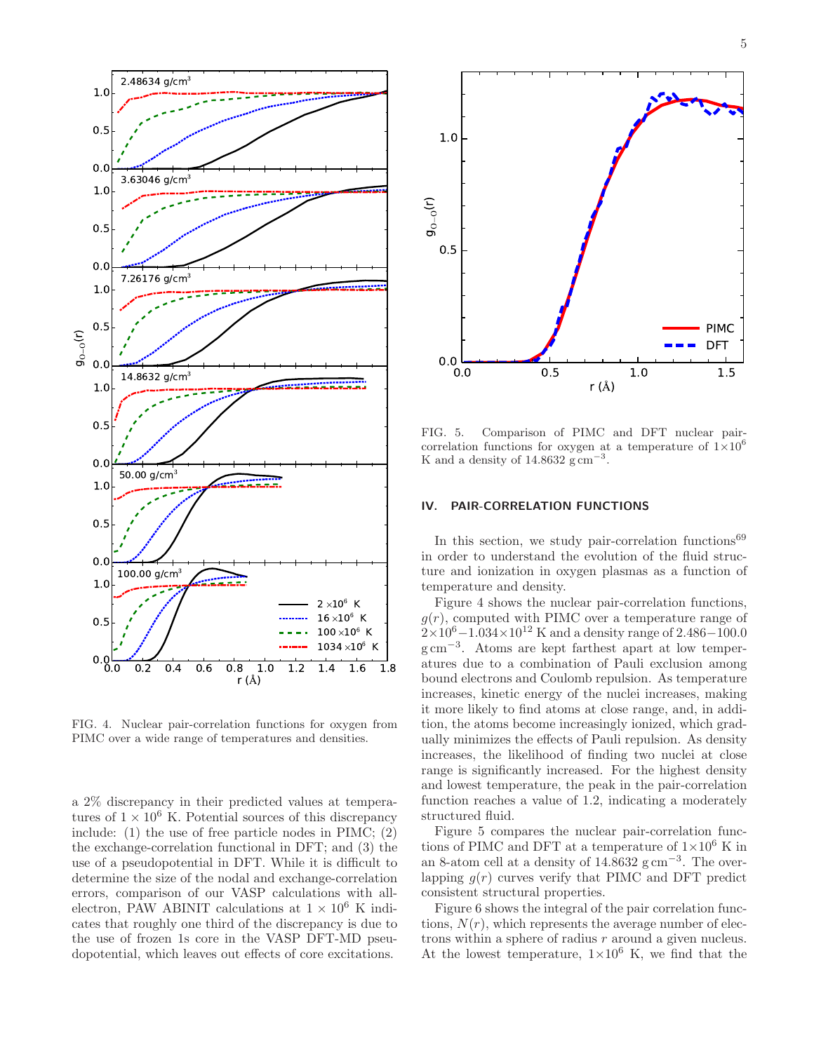

FIG. 4. Nuclear pair-correlation functions for oxygen from PIMC over a wide range of temperatures and densities.

a 2% discrepancy in their predicted values at temperatures of  $1 \times 10^6$  K. Potential sources of this discrepancy include: (1) the use of free particle nodes in PIMC; (2) the exchange-correlation functional in DFT; and (3) the use of a pseudopotential in DFT. While it is difficult to determine the size of the nodal and exchange-correlation errors, comparison of our VASP calculations with allelectron, PAW ABINIT calculations at  $1 \times 10^6$  K indicates that roughly one third of the discrepancy is due to the use of frozen 1s core in the VASP DFT-MD pseudopotential, which leaves out effects of core excitations.



FIG. 5. Comparison of PIMC and DFT nuclear paircorrelation functions for oxygen at a temperature of  $1\times10^6$ K and a density of  $14.8632 \text{ g cm}^{-3}$ .

## IV. PAIR-CORRELATION FUNCTIONS

In this section, we study pair-correlation functions<sup>69</sup> in order to understand the evolution of the fluid structure and ionization in oxygen plasmas as a function of temperature and density.

Figure 4 shows the nuclear pair-correlation functions,  $g(r)$ , computed with PIMC over a temperature range of  $2\times10^6 - 1.034\times10^{12}$  K and a density range of 2.486–100.0 g cm<sup>−</sup><sup>3</sup> . Atoms are kept farthest apart at low temperatures due to a combination of Pauli exclusion among bound electrons and Coulomb repulsion. As temperature increases, kinetic energy of the nuclei increases, making it more likely to find atoms at close range, and, in addition, the atoms become increasingly ionized, which gradually minimizes the effects of Pauli repulsion. As density increases, the likelihood of finding two nuclei at close range is significantly increased. For the highest density and lowest temperature, the peak in the pair-correlation function reaches a value of 1.2, indicating a moderately structured fluid.

Figure 5 compares the nuclear pair-correlation functions of PIMC and DFT at a temperature of  $1\times10^6$  K in an 8-atom cell at a density of  $14.8632$  g cm<sup>-3</sup>. The overlapping  $g(r)$  curves verify that PIMC and DFT predict consistent structural properties.

Figure 6 shows the integral of the pair correlation functions,  $N(r)$ , which represents the average number of electrons within a sphere of radius r around a given nucleus. At the lowest temperature,  $1\times10^6$  K, we find that the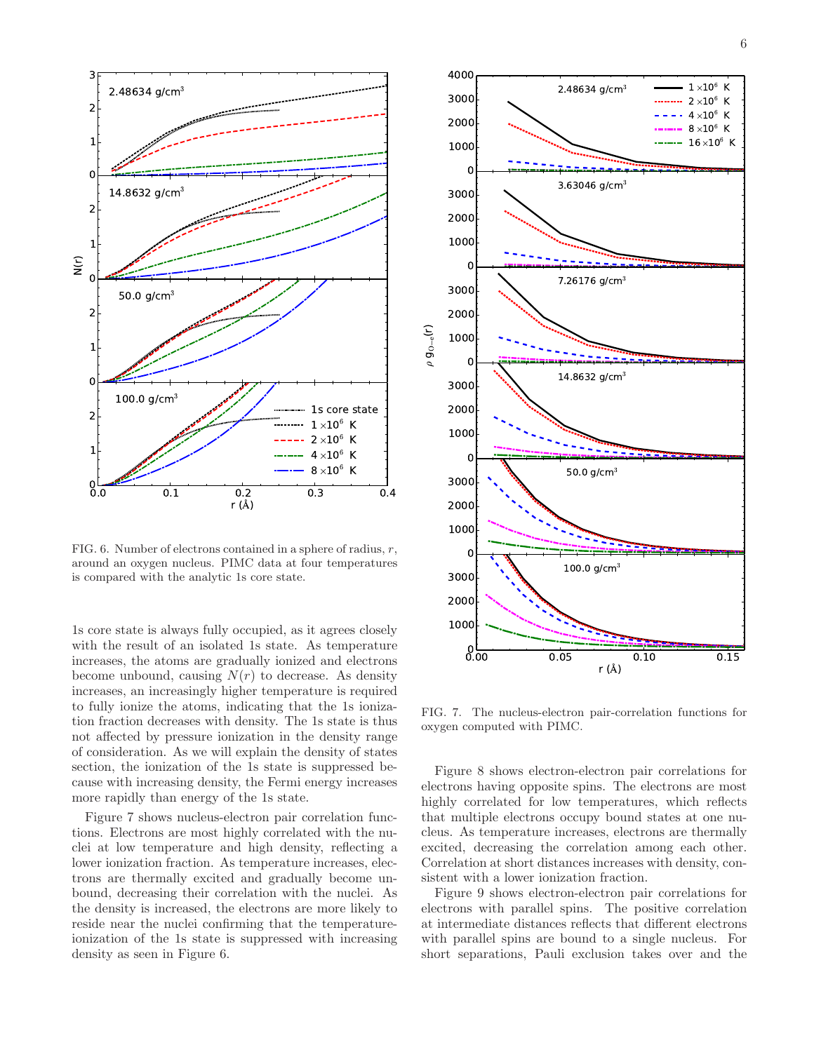

FIG. 6. Number of electrons contained in a sphere of radius,  $r$ , around an oxygen nucleus. PIMC data at four temperatures is compared with the analytic 1s core state.

1s core state is always fully occupied, as it agrees closely with the result of an isolated 1s state. As temperature increases, the atoms are gradually ionized and electrons become unbound, causing  $N(r)$  to decrease. As density increases, an increasingly higher temperature is required to fully ionize the atoms, indicating that the 1s ionization fraction decreases with density. The 1s state is thus not affected by pressure ionization in the density range of consideration. As we will explain the density of states section, the ionization of the 1s state is suppressed because with increasing density, the Fermi energy increases more rapidly than energy of the 1s state.

Figure 7 shows nucleus-electron pair correlation functions. Electrons are most highly correlated with the nuclei at low temperature and high density, reflecting a lower ionization fraction. As temperature increases, electrons are thermally excited and gradually become unbound, decreasing their correlation with the nuclei. As the density is increased, the electrons are more likely to reside near the nuclei confirming that the temperatureionization of the 1s state is suppressed with increasing density as seen in Figure 6.



FIG. 7. The nucleus-electron pair-correlation functions for oxygen computed with PIMC.

Figure 8 shows electron-electron pair correlations for electrons having opposite spins. The electrons are most highly correlated for low temperatures, which reflects that multiple electrons occupy bound states at one nucleus. As temperature increases, electrons are thermally excited, decreasing the correlation among each other. Correlation at short distances increases with density, consistent with a lower ionization fraction.

Figure 9 shows electron-electron pair correlations for electrons with parallel spins. The positive correlation at intermediate distances reflects that different electrons with parallel spins are bound to a single nucleus. For short separations, Pauli exclusion takes over and the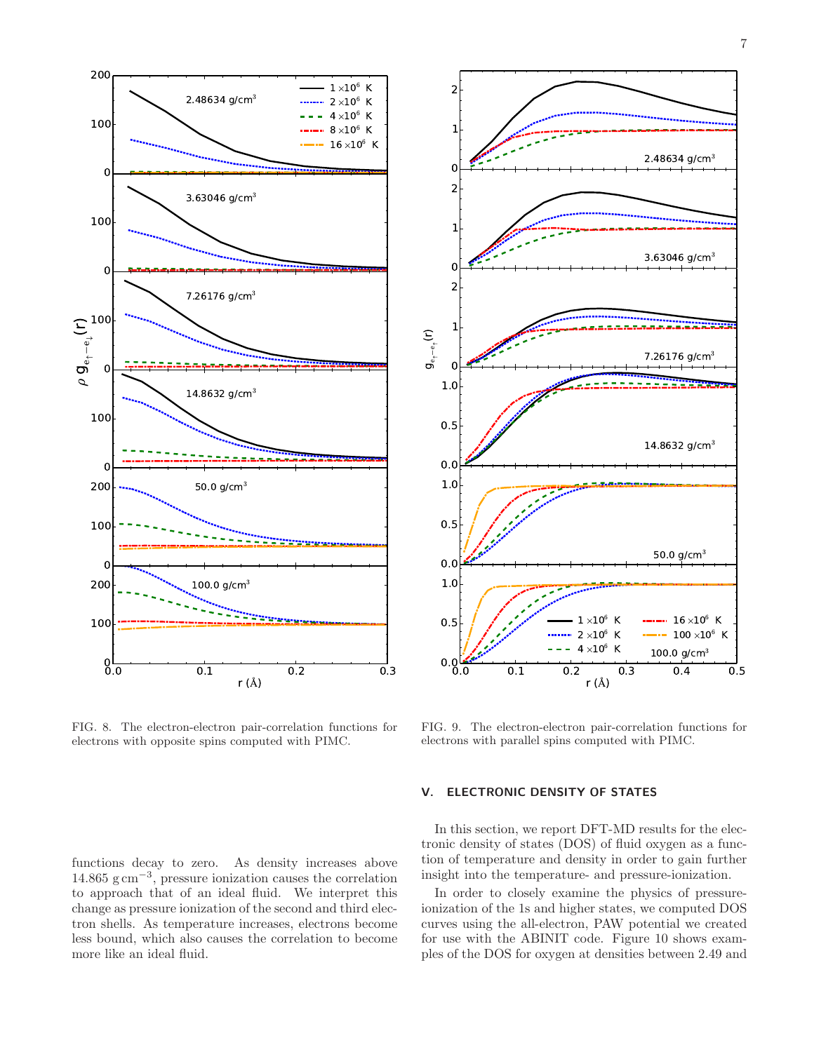

FIG. 8. The electron-electron pair-correlation functions for electrons with opposite spins computed with PIMC.

functions decay to zero. As density increases above 14.865 g cm<sup>−</sup><sup>3</sup> , pressure ionization causes the correlation to approach that of an ideal fluid. We interpret this change as pressure ionization of the second and third electron shells. As temperature increases, electrons become less bound, which also causes the correlation to become more like an ideal fluid.



FIG. 9. The electron-electron pair-correlation functions for electrons with parallel spins computed with PIMC.

#### V. ELECTRONIC DENSITY OF STATES

In this section, we report DFT-MD results for the electronic density of states (DOS) of fluid oxygen as a function of temperature and density in order to gain further insight into the temperature- and pressure-ionization.

In order to closely examine the physics of pressureionization of the 1s and higher states, we computed DOS curves using the all-electron, PAW potential we created for use with the ABINIT code. Figure 10 shows examples of the DOS for oxygen at densities between 2.49 and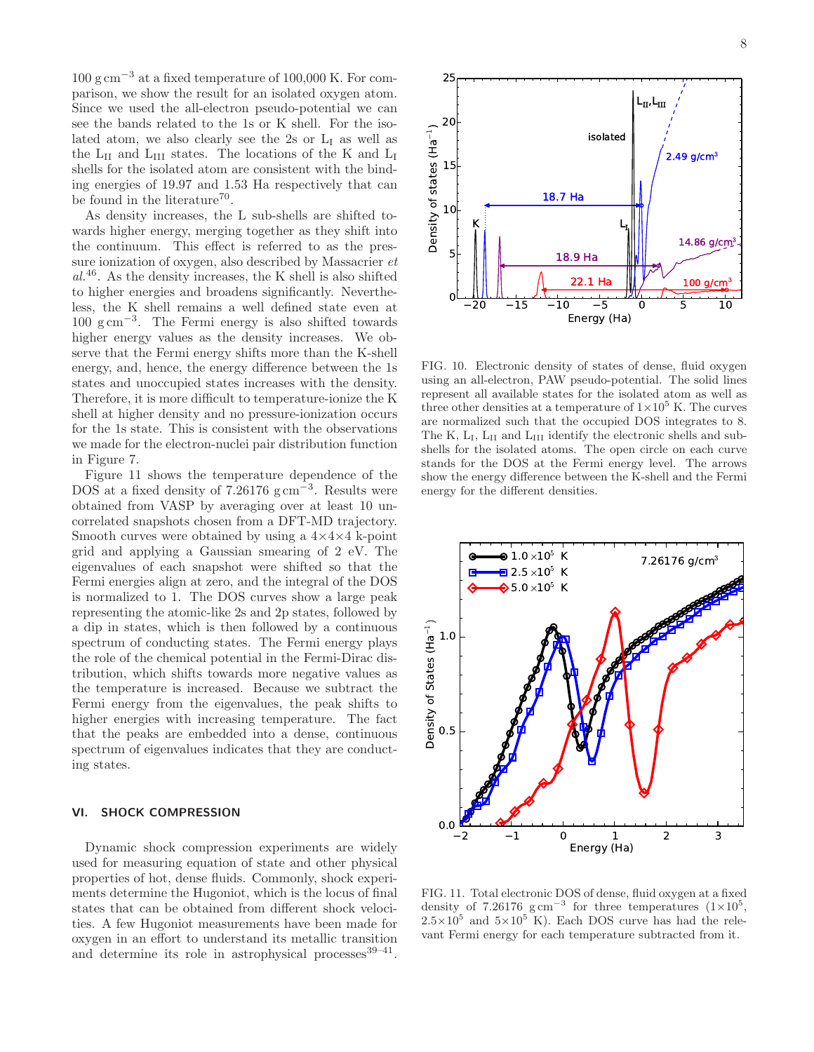100 g cm−<sup>3</sup> at a fixed temperature of 100,000 K. For comparison, we show the result for an isolated oxygen atom. Since we used the all-electron pseudo-potential we can see the bands related to the 1s or K shell. For the isolated atom, we also clearly see the 2s or  $L<sub>I</sub>$  as well as the  $\rm L_{II}$  and  $\rm L_{III}$  states. The locations of the K and  $\rm L_{I}$ shells for the isolated atom are consistent with the binding energies of 19.97 and 1.53 Ha respectively that can be found in the literature<sup>70</sup>.

As density increases, the L sub-shells are shifted towards higher energy, merging together as they shift into the continuum. This effect is referred to as the pressure ionization of oxygen, also described by Massacrier et  $al^{46}$ . As the density increases, the K shell is also shifted to higher energies and broadens significantly. Nevertheless, the K shell remains a well defined state even at 100 g cm−<sup>3</sup> . The Fermi energy is also shifted towards higher energy values as the density increases. We observe that the Fermi energy shifts more than the K-shell energy, and, hence, the energy difference between the 1s states and unoccupied states increases with the density. Therefore, it is more difficult to temperature-ionize the K shell at higher density and no pressure-ionization occurs for the 1s state. This is consistent with the observations we made for the electron-nuclei pair distribution function in Figure 7.

Figure 11 shows the temperature dependence of the DOS at a fixed density of  $7.26176$  g cm<sup>-3</sup>. Results were obtained from VASP by averaging over at least 10 uncorrelated snapshots chosen from a DFT-MD trajectory. Smooth curves were obtained by using a  $4\times4\times4$  k-point grid and applying a Gaussian smearing of 2 eV. The eigenvalues of each snapshot were shifted so that the Fermi energies align at zero, and the integral of the DOS is normalized to 1. The DOS curves show a large peak representing the atomic-like 2s and 2p states, followed by a dip in states, which is then followed by a continuous spectrum of conducting states. The Fermi energy plays the role of the chemical potential in the Fermi-Dirac distribution, which shifts towards more negative values as the temperature is increased. Because we subtract the Fermi energy from the eigenvalues, the peak shifts to higher energies with increasing temperature. The fact that the peaks are embedded into a dense, continuous spectrum of eigenvalues indicates that they are conducting states.

#### VI. SHOCK COMPRESSION

Dynamic shock compression experiments are widely used for measuring equation of state and other physical properties of hot, dense fluids. Commonly, shock experiments determine the Hugoniot, which is the locus of final states that can be obtained from different shock velocities. A few Hugoniot measurements have been made for oxygen in an effort to understand its metallic transition and determine its role in astrophysical processes  $39-41$ .



FIG. 10. Electronic density of states of dense, fluid oxygen using an all-electron, PAW pseudo-potential. The solid lines represent all available states for the isolated atom as well as three other densities at a temperature of  $1 \times 10^5$  K. The curves are normalized such that the occupied DOS integrates to 8. The K,  $L_I$ ,  $L_{II}$  and  $L_{III}$  identify the electronic shells and subshells for the isolated atoms. The open circle on each curve stands for the DOS at the Fermi energy level. The arrows show the energy difference between the K-shell and the Fermi energy for the different densities.



FIG. 11. Total electronic DOS of dense, fluid oxygen at a fixed density of 7.26176  $\text{g cm}^{-3}$  for three temperatures  $(1\times10^5,$  $2.5 \times 10^5$  and  $5 \times 10^5$  K). Each DOS curve has had the relevant Fermi energy for each temperature subtracted from it.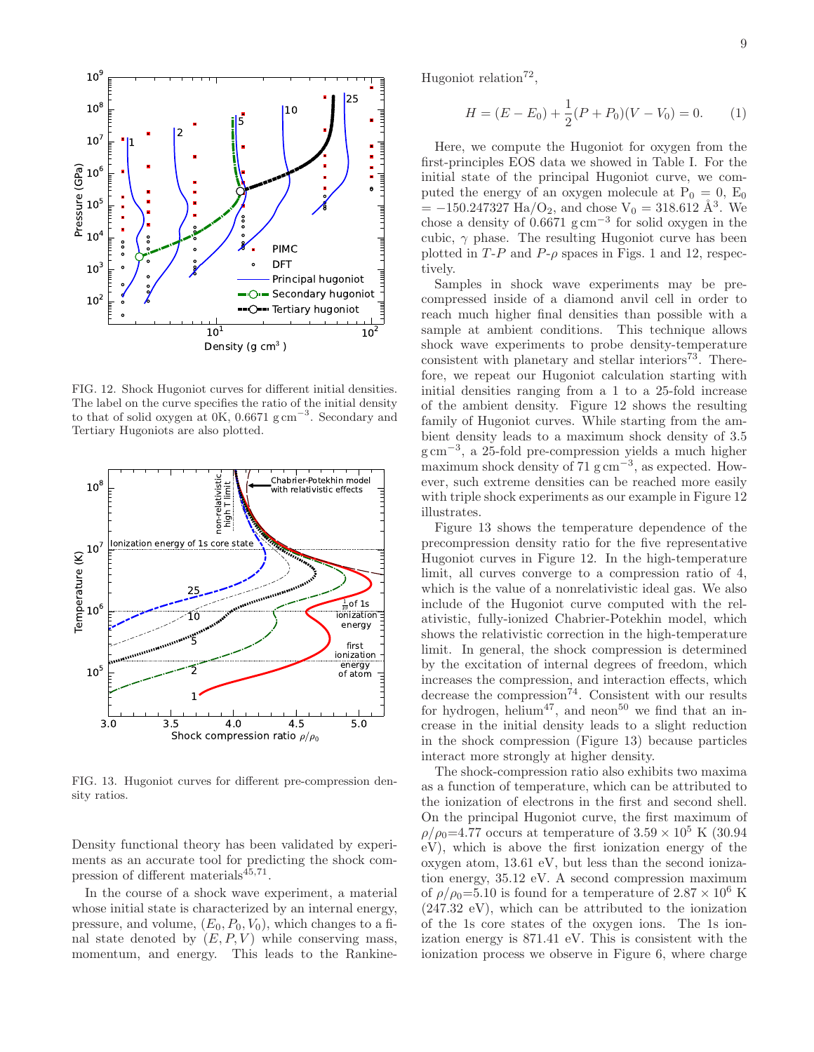

FIG. 12. Shock Hugoniot curves for different initial densities. The label on the curve specifies the ratio of the initial density to that of solid oxygen at 0K, 0.6671 g cm<sup>−</sup><sup>3</sup> . Secondary and Tertiary Hugoniots are also plotted.



FIG. 13. Hugoniot curves for different pre-compression density ratios.

Density functional theory has been validated by experiments as an accurate tool for predicting the shock compression of different materials<sup>45,71</sup>.

In the course of a shock wave experiment, a material whose initial state is characterized by an internal energy, pressure, and volume,  $(E_0, P_0, V_0)$ , which changes to a final state denoted by  $(E, P, V)$  while conserving mass, momentum, and energy. This leads to the RankineHugoniot relation<sup>72</sup>,

$$
H = (E - E_0) + \frac{1}{2}(P + P_0)(V - V_0) = 0.
$$
 (1)

Here, we compute the Hugoniot for oxygen from the first-principles EOS data we showed in Table I. For the initial state of the principal Hugoniot curve, we computed the energy of an oxygen molecule at  $P_0 = 0$ ,  $E_0$  $= -150.247327$  Ha/O<sub>2</sub>, and chose V<sub>0</sub> = 318.612 Å<sup>3</sup>. We chose a density of  $0.6671$  g cm<sup>-3</sup> for solid oxygen in the cubic,  $\gamma$  phase. The resulting Hugoniot curve has been plotted in  $T-P$  and  $P-\rho$  spaces in Figs. 1 and 12, respectively.

Samples in shock wave experiments may be precompressed inside of a diamond anvil cell in order to reach much higher final densities than possible with a sample at ambient conditions. This technique allows shock wave experiments to probe density-temperature consistent with planetary and stellar interiors<sup>73</sup>. Therefore, we repeat our Hugoniot calculation starting with initial densities ranging from a 1 to a 25-fold increase of the ambient density. Figure 12 shows the resulting family of Hugoniot curves. While starting from the ambient density leads to a maximum shock density of 3.5 g cm<sup>−</sup><sup>3</sup> , a 25-fold pre-compression yields a much higher maximum shock density of  $71~{\rm g\,cm}^{-3}$ , as expected. However, such extreme densities can be reached more easily with triple shock experiments as our example in Figure 12 illustrates.

Figure 13 shows the temperature dependence of the precompression density ratio for the five representative Hugoniot curves in Figure 12. In the high-temperature limit, all curves converge to a compression ratio of 4, which is the value of a nonrelativistic ideal gas. We also include of the Hugoniot curve computed with the relativistic, fully-ionized Chabrier-Potekhin model, which shows the relativistic correction in the high-temperature limit. In general, the shock compression is determined by the excitation of internal degrees of freedom, which increases the compression, and interaction effects, which decrease the compression<sup>74</sup>. Consistent with our results for hydrogen, helium<sup>47</sup>, and neon<sup>50</sup> we find that an increase in the initial density leads to a slight reduction in the shock compression (Figure 13) because particles interact more strongly at higher density.

The shock-compression ratio also exhibits two maxima as a function of temperature, which can be attributed to the ionization of electrons in the first and second shell. On the principal Hugoniot curve, the first maximum of  $\rho/\rho_0=4.77$  occurs at temperature of  $3.59 \times 10^5$  K (30.94) eV), which is above the first ionization energy of the oxygen atom, 13.61 eV, but less than the second ionization energy, 35.12 eV. A second compression maximum of  $\rho/\rho_0=5.10$  is found for a temperature of  $2.87\times10^6$  K (247.32 eV), which can be attributed to the ionization of the 1s core states of the oxygen ions. The 1s ionization energy is 871.41 eV. This is consistent with the ionization process we observe in Figure 6, where charge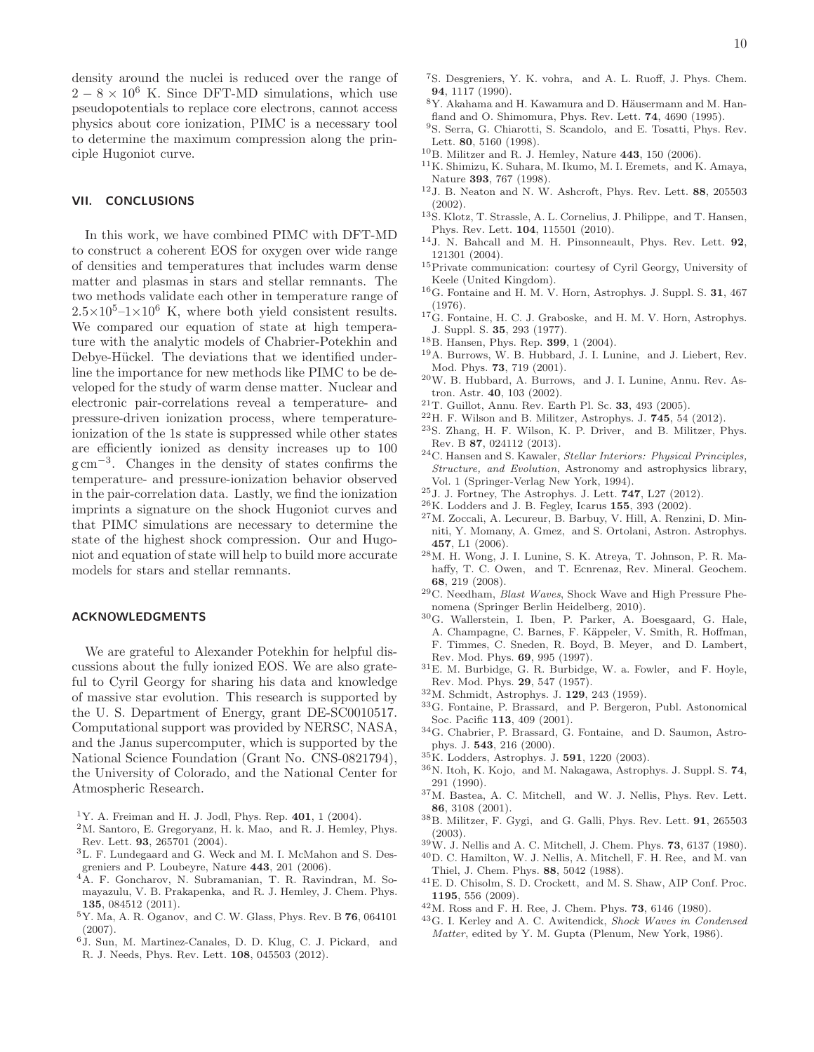density around the nuclei is reduced over the range of  $2-8 \times 10^6$  K. Since DFT-MD simulations, which use pseudopotentials to replace core electrons, cannot access physics about core ionization, PIMC is a necessary tool to determine the maximum compression along the principle Hugoniot curve.

## VII. CONCLUSIONS

In this work, we have combined PIMC with DFT-MD to construct a coherent EOS for oxygen over wide range of densities and temperatures that includes warm dense matter and plasmas in stars and stellar remnants. The two methods validate each other in temperature range of  $2.5\times10^{5}$ -1×10<sup>6</sup> K, where both yield consistent results. We compared our equation of state at high temperature with the analytic models of Chabrier-Potekhin and Debye-Hückel. The deviations that we identified underline the importance for new methods like PIMC to be developed for the study of warm dense matter. Nuclear and electronic pair-correlations reveal a temperature- and pressure-driven ionization process, where temperatureionization of the 1s state is suppressed while other states are efficiently ionized as density increases up to 100 g cm<sup>−</sup><sup>3</sup> . Changes in the density of states confirms the temperature- and pressure-ionization behavior observed in the pair-correlation data. Lastly, we find the ionization imprints a signature on the shock Hugoniot curves and that PIMC simulations are necessary to determine the state of the highest shock compression. Our and Hugoniot and equation of state will help to build more accurate models for stars and stellar remnants.

### ACKNOWLEDGMENTS

We are grateful to Alexander Potekhin for helpful discussions about the fully ionized EOS. We are also grateful to Cyril Georgy for sharing his data and knowledge of massive star evolution. This research is supported by the U. S. Department of Energy, grant DE-SC0010517. Computational support was provided by NERSC, NASA, and the Janus supercomputer, which is supported by the National Science Foundation (Grant No. CNS-0821794), the University of Colorado, and the National Center for Atmospheric Research.

- <sup>1</sup>Y. A. Freiman and H. J. Jodl, Phys. Rep.  $401$ , 1 (2004).
- <sup>2</sup>M. Santoro, E. Gregoryanz, H. k. Mao, and R. J. Hemley, Phys. Rev. Lett. 93, 265701 (2004).
- $^3$  L. F. Lundegaard and G. Weck and M. I. McMahon and S. Desgreniers and P. Loubeyre, Nature 443, 201 (2006).
- <sup>4</sup>A. F. Goncharov, N. Subramanian, T. R. Ravindran, M. Somayazulu, V. B. Prakapenka, and R. J. Hemley, J. Chem. Phys. 135, 084512 (2011).
- $^{5}\mathrm{Y.}$  Ma, A. R. Oganov, and C. W. Glass, Phys. Rev. B  $\bf{76}, 064101$ (2007).
- <sup>6</sup>J. Sun, M. Martinez-Canales, D. D. Klug, C. J. Pickard, and R. J. Needs, Phys. Rev. Lett. 108, 045503 (2012).
- <sup>7</sup>S. Desgreniers, Y. K. vohra, and A. L. Ruoff, J. Phys. Chem.
- 94, 1117 (1990).  ${}^{8}{\rm Y.}$  Akahama and H. Kawamura and D. Häusermann and M. Hanfland and O. Shimomura, Phys. Rev. Lett. 74, 4690 (1995).
- <sup>9</sup>S. Serra, G. Chiarotti, S. Scandolo, and E. Tosatti, Phys. Rev.
- Lett. 80, 5160 (1998).
- $10B$ . Militzer and R. J. Hemley, Nature 443, 150 (2006).
- $^{11}{\rm K}.$  Shimizu, K. Suhara, M. Ikumo, M. I. Eremets, and K. Amaya, Nature 393, 767 (1998).
- $^{12}$  J. B. Neaton and N. W. Ashcroft, Phys. Rev. Lett.  $88, 205503$ (2002).
- <sup>13</sup>S. Klotz, T. Strassle, A. L. Cornelius, J. Philippe, and T. Hansen, Phys. Rev. Lett. 104, 115501 (2010).
- <sup>14</sup>J. N. Bahcall and M. H. Pinsonneault, Phys. Rev. Lett. 92, 121301 (2004).
- <sup>15</sup>Private communication: courtesy of Cyril Georgy, University of Keele (United Kingdom).
- <sup>16</sup>G. Fontaine and H. M. V. Horn, Astrophys. J. Suppl. S. 31, 467 (1976).
- ${}^{17}G$ . Fontaine, H. C. J. Graboske, and H. M. V. Horn, Astrophys. J. Suppl. S. 35, 293 (1977).
- <sup>18</sup>B. Hansen, Phys. Rep. 399, 1 (2004).
- <sup>19</sup>A. Burrows, W. B. Hubbard, J. I. Lunine, and J. Liebert, Rev. Mod. Phys. 73, 719 (2001).
- <sup>20</sup>W. B. Hubbard, A. Burrows, and J. I. Lunine, Annu. Rev. Astron. Astr. 40, 103 (2002).
- <sup>21</sup>T. Guillot, Annu. Rev. Earth Pl. Sc. 33, 493 (2005).
- $22$ H. F. Wilson and B. Militzer, Astrophys. J. 745, 54 (2012).
- <sup>23</sup>S. Zhang, H. F. Wilson, K. P. Driver, and B. Militzer, Phys. Rev. B 87, 024112 (2013).
- $24$ C. Hansen and S. Kawaler, *Stellar Interiors: Physical Principles*, Structure, and Evolution, Astronomy and astrophysics library, Vol. 1 (Springer-Verlag New York, 1994).
- <sup>25</sup>J. J. Fortney, The Astrophys. J. Lett. 747, L27 (2012).
- $^{26}$ K. Lodders and J. B. Fegley, Icarus 155, 393 (2002).
- <sup>27</sup>M. Zoccali, A. Lecureur, B. Barbuy, V. Hill, A. Renzini, D. Minniti, Y. Momany, A. Gmez, and S. Ortolani, Astron. Astrophys. 457, L1 (2006).
- <sup>28</sup>M. H. Wong, J. I. Lunine, S. K. Atreya, T. Johnson, P. R. Mahaffy, T. C. Owen, and T. Ecnrenaz, Rev. Mineral. Geochem. 68, 219 (2008).
- <sup>29</sup>C. Needham, Blast Waves, Shock Wave and High Pressure Phenomena (Springer Berlin Heidelberg, 2010).
- <sup>30</sup>G. Wallerstein, I. Iben, P. Parker, A. Boesgaard, G. Hale, A. Champagne, C. Barnes, F. Käppeler, V. Smith, R. Hoffman, F. Timmes, C. Sneden, R. Boyd, B. Meyer, and D. Lambert, Rev. Mod. Phys. 69, 995 (1997).
- <sup>31</sup>E. M. Burbidge, G. R. Burbidge, W. a. Fowler, and F. Hoyle, Rev. Mod. Phys. 29, 547 (1957).
- <sup>32</sup>M. Schmidt, Astrophys. J. 129, 243 (1959).
- <sup>33</sup>G. Fontaine, P. Brassard, and P. Bergeron, Publ. Astonomical Soc. Pacific 113, 409 (2001).
- $^{34} \rm{G.}$  Chabrier, P. Brassard, G. Fontaine, and D. Saumon, Astrophys. J. 543, 216 (2000).
- <sup>35</sup>K. Lodders, Astrophys. J. 591, 1220 (2003).
- <sup>36</sup>N. Itoh, K. Kojo, and M. Nakagawa, Astrophys. J. Suppl. S. 74, 291 (1990).
- <sup>37</sup>M. Bastea, A. C. Mitchell, and W. J. Nellis, Phys. Rev. Lett. 86, 3108 (2001).
- <sup>38</sup>B. Militzer, F. Gygi, and G. Galli, Phys. Rev. Lett. 91, 265503 (2003).
- $39\,\text{W}$ . J. Nellis and A. C. Mitchell, J. Chem. Phys. **73**, 6137 (1980).
- <sup>40</sup>D. C. Hamilton, W. J. Nellis, A. Mitchell, F. H. Ree, and M. van Thiel, J. Chem. Phys. 88, 5042 (1988).
- <sup>41</sup>E. D. Chisolm, S. D. Crockett, and M. S. Shaw, AIP Conf. Proc. 1195, 556 (2009).
- <sup>42</sup>M. Ross and F. H. Ree, J. Chem. Phys. 73, 6146 (1980).
- <sup>43</sup>G. I. Kerley and A. C. Awitendick, Shock Waves in Condensed Matter, edited by Y. M. Gupta (Plenum, New York, 1986).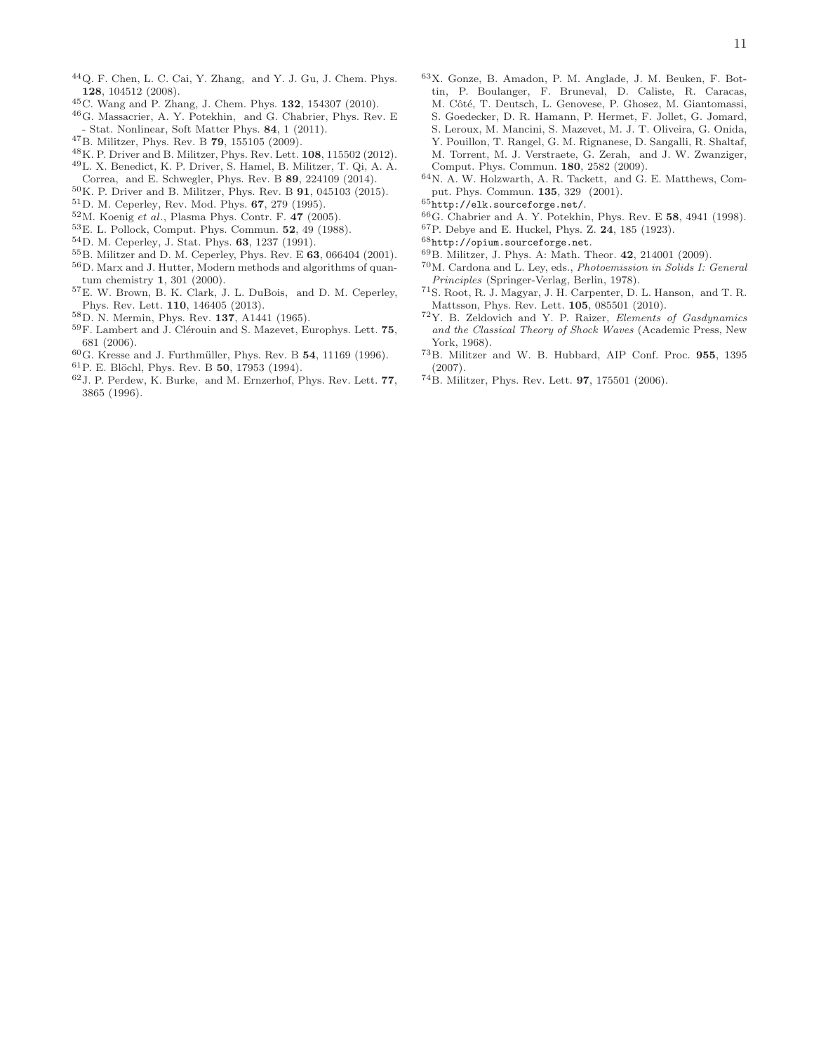- <sup>44</sup>Q. F. Chen, L. C. Cai, Y. Zhang, and Y. J. Gu, J. Chem. Phys. 128, 104512 (2008).
- <sup>45</sup>C. Wang and P. Zhang, J. Chem. Phys. 132, 154307 (2010).
- <sup>46</sup>G. Massacrier, A. Y. Potekhin, and G. Chabrier, Phys. Rev. E - Stat. Nonlinear, Soft Matter Phys. 84, 1 (2011).
- <sup>47</sup>B. Militzer, Phys. Rev. B 79, 155105 (2009).
- <sup>48</sup>K. P. Driver and B. Militzer, Phys. Rev. Lett. 108, 115502 (2012).
- <sup>49</sup>L. X. Benedict, K. P. Driver, S. Hamel, B. Militzer, T. Qi, A. A.
- Correa, and E. Schwegler, Phys. Rev. B 89, 224109 (2014).
- $50$ K. P. Driver and B. Militzer, Phys. Rev. B  $91$ , 045103 (2015).
- <sup>51</sup>D. M. Ceperley, Rev. Mod. Phys. 67, 279 (1995).  $52M$ . Koenig et al., Plasma Phys. Contr. F. 47 (2005).
- <sup>53</sup>E. L. Pollock, Comput. Phys. Commun. 52, 49 (1988).
- <sup>54</sup>D. M. Ceperley, J. Stat. Phys. 63, 1237 (1991).
- <sup>55</sup>B. Militzer and D. M. Ceperley, Phys. Rev. E 63, 066404 (2001).
- <sup>56</sup>D. Marx and J. Hutter, Modern methods and algorithms of quantum chemistry 1, 301 (2000).
- <sup>57</sup>E. W. Brown, B. K. Clark, J. L. DuBois, and D. M. Ceperley, Phys. Rev. Lett. 110, 146405 (2013).
- <sup>58</sup>D. N. Mermin, Phys. Rev. 137, A1441 (1965).
- $59F.$  Lambert and J. Clérouin and S. Mazevet, Europhys. Lett. 75, 681 (2006).
- $60G$ . Kresse and J. Furthmüller, Phys. Rev. B 54, 11169 (1996).
- ${}^{61}P$ . E. Blöchl, Phys. Rev. B 50, 17953 (1994).
- <sup>62</sup>J. P. Perdew, K. Burke, and M. Ernzerhof, Phys. Rev. Lett. 77, 3865 (1996).
- <sup>63</sup>X. Gonze, B. Amadon, P. M. Anglade, J. M. Beuken, F. Bottin, P. Boulanger, F. Bruneval, D. Caliste, R. Caracas, M. Côté, T. Deutsch, L. Genovese, P. Ghosez, M. Giantomassi, S. Goedecker, D. R. Hamann, P. Hermet, F. Jollet, G. Jomard, S. Leroux, M. Mancini, S. Mazevet, M. J. T. Oliveira, G. Onida, Y. Pouillon, T. Rangel, G. M. Rignanese, D. Sangalli, R. Shaltaf, M. Torrent, M. J. Verstraete, G. Zerah, and J. W. Zwanziger, Comput. Phys. Commun. 180, 2582 (2009).
- <sup>64</sup>N. A. W. Holzwarth, A. R. Tackett, and G. E. Matthews, Comput. Phys. Commun. 135, 329 (2001).
- <sup>65</sup>http://elk.sourceforge.net/.
- <sup>66</sup>G. Chabrier and A. Y. Potekhin, Phys. Rev. E 58, 4941 (1998).
- $67$  P. Debye and E. Huckel, Phys. Z.  $\bf 24,$   $185$  (1923).
- <sup>68</sup>http://opium.sourceforge.net.
- <sup>69</sup>B. Militzer, J. Phys. A: Math. Theor. 42, 214001 (2009).
- <sup>70</sup>M. Cardona and L. Ley, eds., Photoemission in Solids I: General Principles (Springer-Verlag, Berlin, 1978).
- <sup>71</sup>S. Root, R. J. Magyar, J. H. Carpenter, D. L. Hanson, and T. R. Mattsson, Phys. Rev. Lett. 105, 085501 (2010).
- <sup>72</sup>Y. B. Zeldovich and Y. P. Raizer, Elements of Gasdynamics and the Classical Theory of Shock Waves (Academic Press, New York, 1968).
- <sup>73</sup>B. Militzer and W. B. Hubbard, AIP Conf. Proc. 955, 1395 (2007).
- <sup>74</sup>B. Militzer, Phys. Rev. Lett. 97, 175501 (2006).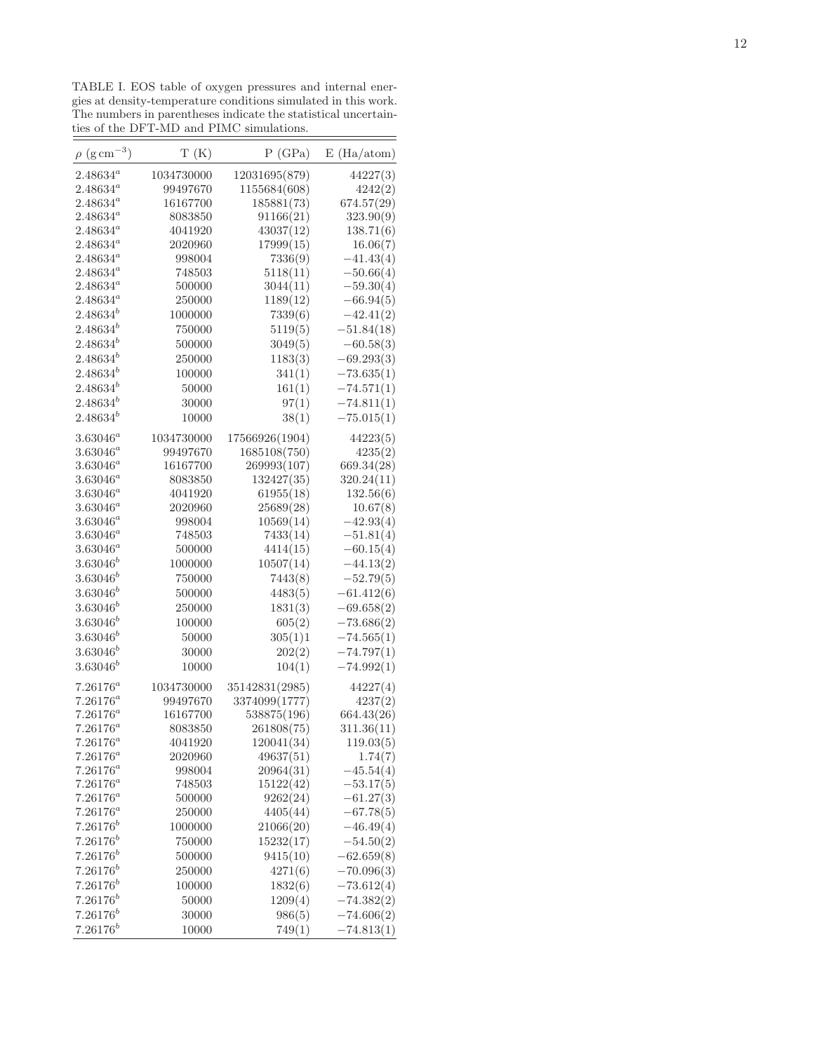TABLE I. EOS table of oxygen pressures and internal energies at density-temperature conditions simulated in this work. The numbers in parentheses indicate the statistical uncertainties of the DFT-MD and PIMC simulations.  $\overline{\phantom{a}}$ 

| $\rho~(\rm g\,cm^{-3})$        | T(K)             | P(GPa)         | E(Ha/atom)                 |
|--------------------------------|------------------|----------------|----------------------------|
| $2.48634^a$                    | 1034730000       | 12031695(879)  | 44227(3)                   |
| $2.48634^a$                    | 99497670         | 1155684(608)   | 4242(2)                    |
| $2.48634^a$                    | 16167700         | 185881(73)     | 674.57(29)                 |
| $2.48634^a$                    | 8083850          | 91166(21)      | 323.90(9)                  |
| $2.48634^a$                    | 4041920          | 43037(12)      | 138.71(6)                  |
| $2.48634^a$                    | 2020960          | 17999(15)      | 16.06(7)                   |
| $2.48634^a$                    | 998004           | 7336(9)        | $-41.43(4)$                |
| $2.48634^a$                    | 748503           | 5118(11)       | $-50.66(4)$                |
| $2.48634^a$                    | 500000           | 3044(11)       | $-59.30(4)$                |
| $2.48634^a$                    | 250000           | 1189(12)       | $-66.94(5)$                |
| $2.48634^{b}$                  | 1000000          | 7339(6)        | $-42.41(2)$                |
| $2.48634^{b}$                  | 750000           | 5119(5)        | $-51.84(18)$               |
| $2.48634^{b}$                  | 500000           | 3049(5)        | $-60.58(3)$                |
| $2.48634^{b}$                  | 250000           | 1183(3)        | $-69.293(3)$               |
| $2.48634^{b}$                  | 100000           | 341(1)         | $-73.635(1)$               |
| $2.48634^{b}$                  | 50000            | 161(1)         | $-74.571(1)$               |
| $2.48634^{b}$                  | 30000            | 97(1)          | $-74.811(1)$               |
| $2.48634^{b}$                  | 10000            | 38(1)          | $-75.015(1)$               |
| $3.63046^a$                    | 1034730000       | 17566926(1904) | 44223(5)                   |
| $3.63046^a$                    | 99497670         | 1685108(750)   | 4235(2)                    |
| $3.63046^a$                    | 16167700         | 269993(107)    | 669.34(28)                 |
| $3.63046^a$                    | 8083850          | 132427(35)     | 320.24(11)                 |
| $3.63046^a$                    | 4041920          | 61955(18)      | 132.56(6)                  |
| $3.63046^a$                    | 2020960          | 25689(28)      | 10.67(8)                   |
| $3.63046^a$                    | 998004           | 10569(14)      | $-42.93(4)$                |
| $3.63046^a$                    | 748503           | 7433(14)       | $-51.81(4)$                |
| $3.63046^a$                    | 500000           | 4414(15)       | $-60.15(4)$                |
| $3.63046^{b}$                  | 1000000          | 10507(14)      | $-44.13(2)$                |
| $3.63046^{b}$                  | 750000           | 7443(8)        | $-52.79(5)$                |
| $3.63046^{b}$                  | 500000           | 4483(5)        | $-61.412(6)$               |
| $3.63046^{b}$                  | 250000           | 1831(3)        | $-69.658(2)$               |
| $3.63046^{b}$                  | 100000           | 605(2)         | $-73.686(2)$               |
| $3.63046^{b}$                  | 50000            | 305(1)1        | $-74.565(1)$               |
| $3.63046^{b}$                  | 30000            | 202(2)         | $-74.797(1)$               |
| $3.63046^{b}$                  | 10000            | 104(1)         | $-74.992(1)$               |
| $7.26176^a$                    | 1034730000       | 35142831(2985) | 44227(4)                   |
| $7.26176^a$                    | 99497670         | 3374099(1777)  | 4237(2)                    |
| $7.26176^a$                    | 16167700         | 538875(196)    | 664.43(26)                 |
| $7.26176^a$                    | 8083850          | 261808(75)     | 311.36(11)                 |
| $7.26176^a$                    | 4041920          | 120041(34)     | 119.03(5)                  |
| $7.26176^a$                    | 2020960          | 49637(51)      | 1.74(7)                    |
| $7.26176^a$                    | 998004           | 20964(31)      | $-45.54(4)$                |
| $7.26176^a$                    | 748503           | 15122(42)      | $-53.17(5)$                |
| $7.26176^a$                    | 500000<br>250000 | 9262(24)       | $-61.27(3)$<br>$-67.78(5)$ |
| $7.26176^a$                    |                  | 4405(44)       |                            |
| $7.26176^b$<br>$7.26176^b$     | 1000000          | 21066(20)      | $-46.49(4)$                |
|                                | 750000           | 15232(17)      | $-54.50(2)$                |
| $7.26176^{b}$<br>$7.26176^{b}$ | 500000           | 9415(10)       | $-62.659(8)$               |
| $7.26176^{b}$                  | 250000           | 4271(6)        | $-70.096(3)$               |
| $7.26176^{b}$                  | 100000           | 1832(6)        | $-73.612(4)$               |
|                                | 50000            | 1209(4)        | $-74.382(2)$               |
| $7.26176^{b}$                  | 30000            | 986(5)         | $-74.606(2)$               |
| $7.26176^{b}$                  | 10000            | 749(1)         | $-74.813(1)$               |